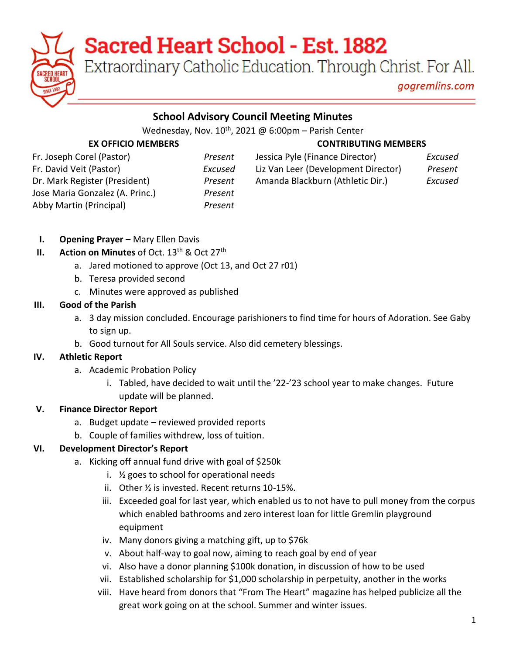# **Sacred Heart School - Est. 1882**

Extraordinary Catholic Education. Through Christ. For All.

gogremlins.com

## **School Advisory Council Meeting Minutes**

Wednesday, Nov.  $10^{th}$ , 2021 @ 6:00pm - Parish Center

## **EX OFFICIO MEMBERS CONTRIBUTING MEMBERS**

| Fr. Joseph Corel (Pastor)       |
|---------------------------------|
| Fr. David Veit (Pastor)         |
| Dr. Mark Register (President)   |
| Jose Maria Gonzalez (A. Princ.) |
| Abby Martin (Principal)         |
|                                 |

Jose Maria Gonzalez (A. Princ.) *Present* Abby Martin (Principal) *Present*

| Fr. Joseph Corel (Pastor)         | Present | Jessica Pyle (Finance Director)     | Excused |
|-----------------------------------|---------|-------------------------------------|---------|
| Fr. David Veit (Pastor)           | Excused | Liz Van Leer (Development Director) | Present |
| Dr. Mark Register (President)     | Present | Amanda Blackburn (Athletic Dir.)    | Excused |
| $l$ asa Maria Canzalez (A. Drina) | Dz      |                                     |         |

- **I. Opening Prayer** Mary Ellen Davis
- **II. Action on Minutes** of Oct. 13<sup>th</sup> & Oct 27<sup>th</sup>
	- a. Jared motioned to approve (Oct 13, and Oct 27 r01)
	- b. Teresa provided second
	- c. Minutes were approved as published

# **III. Good of the Parish**

- a. 3 day mission concluded. Encourage parishioners to find time for hours of Adoration. See Gaby to sign up.
- b. Good turnout for All Souls service. Also did cemetery blessings.

# **IV. Athletic Report**

- a. Academic Probation Policy
	- i. Tabled, have decided to wait until the '22-'23 school year to make changes. Future update will be planned.

# **V. Finance Director Report**

- a. Budget update reviewed provided reports
- b. Couple of families withdrew, loss of tuition.

# **VI. Development Director's Report**

- a. Kicking off annual fund drive with goal of \$250k
	- i. ½ goes to school for operational needs
	- ii. Other ½ is invested. Recent returns 10-15%.
	- iii. Exceeded goal for last year, which enabled us to not have to pull money from the corpus which enabled bathrooms and zero interest loan for little Gremlin playground equipment
	- iv. Many donors giving a matching gift, up to \$76k
	- v. About half-way to goal now, aiming to reach goal by end of year
	- vi. Also have a donor planning \$100k donation, in discussion of how to be used
	- vii. Established scholarship for \$1,000 scholarship in perpetuity, another in the works
	- viii. Have heard from donors that "From The Heart" magazine has helped publicize all the great work going on at the school. Summer and winter issues.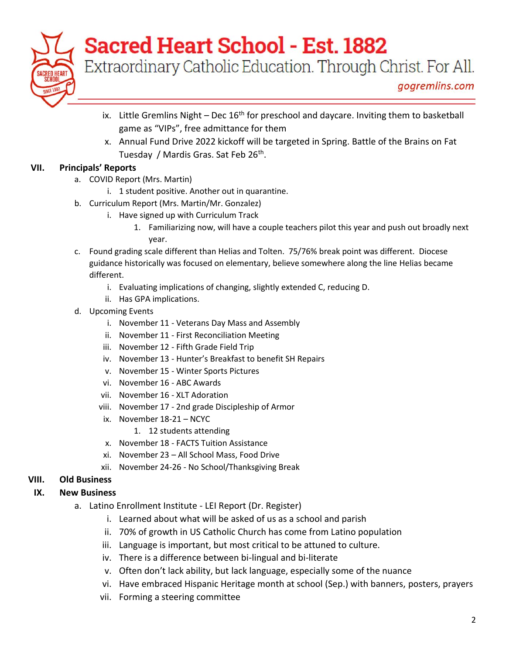

# **Sacred Heart School - Est. 1882**

Extraordinary Catholic Education. Through Christ. For All.

- ix. Little Gremlins Night Dec  $16<sup>th</sup>$  for preschool and daycare. Inviting them to basketball game as "VIPs", free admittance for them
- x. Annual Fund Drive 2022 kickoff will be targeted in Spring. Battle of the Brains on Fat Tuesday / Mardis Gras. Sat Feb 26<sup>th</sup>.

### **VII. Principals' Reports**

- a. COVID Report (Mrs. Martin)
	- i. 1 student positive. Another out in quarantine.
- b. Curriculum Report (Mrs. Martin/Mr. Gonzalez)
	- i. Have signed up with Curriculum Track
		- 1. Familiarizing now, will have a couple teachers pilot this year and push out broadly next year.
- c. Found grading scale different than Helias and Tolten. 75/76% break point was different. Diocese guidance historically was focused on elementary, believe somewhere along the line Helias became different.
	- i. Evaluating implications of changing, slightly extended C, reducing D.
	- ii. Has GPA implications.
- d. Upcoming Events
	- i. November 11 Veterans Day Mass and Assembly
	- ii. November 11 First Reconciliation Meeting
	- iii. November 12 Fifth Grade Field Trip
	- iv. November 13 Hunter's Breakfast to benefit SH Repairs
	- v. November 15 Winter Sports Pictures
	- vi. November 16 ABC Awards
	- vii. November 16 XLT Adoration
	- viii. November 17 2nd grade Discipleship of Armor
	- ix. November 18-21 NCYC
		- 1. 12 students attending
	- x. November 18 FACTS Tuition Assistance
	- xi. November 23 All School Mass, Food Drive
	- xii. November 24-26 No School/Thanksgiving Break

### **VIII. Old Business**

### **IX. New Business**

- a. Latino Enrollment Institute LEI Report (Dr. Register)
	- i. Learned about what will be asked of us as a school and parish
	- ii. 70% of growth in US Catholic Church has come from Latino population
	- iii. Language is important, but most critical to be attuned to culture.
	- iv. There is a difference between bi-lingual and bi-literate
	- v. Often don't lack ability, but lack language, especially some of the nuance
	- vi. Have embraced Hispanic Heritage month at school (Sep.) with banners, posters, prayers
	- vii. Forming a steering committee